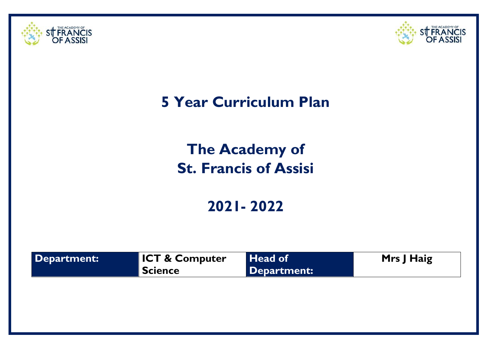



## **5 Year Curriculum Plan**

# **The Academy of St. Francis of Assisi**

## **2021- 2022**

| Department: | <b>ICT &amp; Computer</b><br><b>Science</b> | Head of<br>Department: | Mrs J Haig |
|-------------|---------------------------------------------|------------------------|------------|
|             |                                             |                        |            |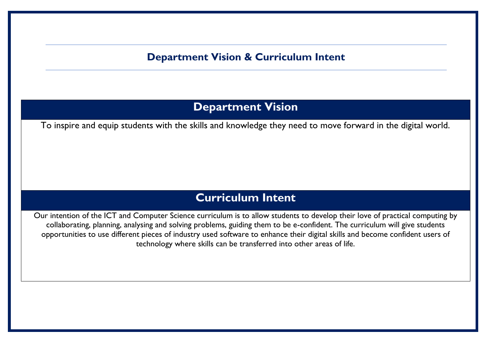#### **Department Vision & Curriculum Intent**

### **Department Vision**

To inspire and equip students with the skills and knowledge they need to move forward in the digital world.

### **Curriculum Intent**

Our intention of the ICT and Computer Science curriculum is to allow students to develop their love of practical computing by collaborating, planning, analysing and solving problems, guiding them to be e-confident. The curriculum will give students opportunities to use different pieces of industry used software to enhance their digital skills and become confident users of technology where skills can be transferred into other areas of life.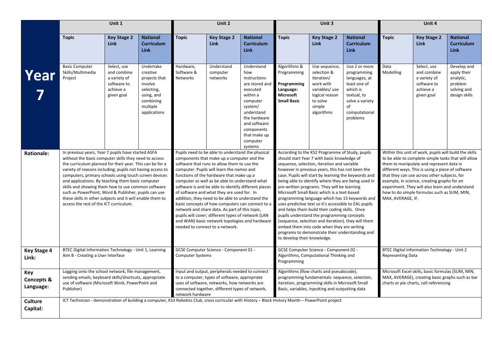|                                           | Unit 1                                                                                                                                                                                                                                                                                                                                                                                                                                                                                                                                                                  |                                                                                      |                                                                                                                        |                                                                                                                                                                                                                                                                                                                                                                                                                                                                                                                                                                                                                                                                                                      | Unit 2                                 |                                                                                                                                                                                                                                                                                                                                                                                                                                                                                                                                                                                                                                                                                                                                                                                                                  |                                                                                            | Unit 3                                                                                                                                          |                                                                                                                                                |                                                                                                                                                                                                                                                                                                                                                                                                                 | Unit 4                                                                               |                                                                                    |
|-------------------------------------------|-------------------------------------------------------------------------------------------------------------------------------------------------------------------------------------------------------------------------------------------------------------------------------------------------------------------------------------------------------------------------------------------------------------------------------------------------------------------------------------------------------------------------------------------------------------------------|--------------------------------------------------------------------------------------|------------------------------------------------------------------------------------------------------------------------|------------------------------------------------------------------------------------------------------------------------------------------------------------------------------------------------------------------------------------------------------------------------------------------------------------------------------------------------------------------------------------------------------------------------------------------------------------------------------------------------------------------------------------------------------------------------------------------------------------------------------------------------------------------------------------------------------|----------------------------------------|------------------------------------------------------------------------------------------------------------------------------------------------------------------------------------------------------------------------------------------------------------------------------------------------------------------------------------------------------------------------------------------------------------------------------------------------------------------------------------------------------------------------------------------------------------------------------------------------------------------------------------------------------------------------------------------------------------------------------------------------------------------------------------------------------------------|--------------------------------------------------------------------------------------------|-------------------------------------------------------------------------------------------------------------------------------------------------|------------------------------------------------------------------------------------------------------------------------------------------------|-----------------------------------------------------------------------------------------------------------------------------------------------------------------------------------------------------------------------------------------------------------------------------------------------------------------------------------------------------------------------------------------------------------------|--------------------------------------------------------------------------------------|------------------------------------------------------------------------------------|
|                                           | <b>Topic</b>                                                                                                                                                                                                                                                                                                                                                                                                                                                                                                                                                            | <b>Key Stage 2</b><br><b>Link</b>                                                    | <b>National</b><br><b>Curriculum</b><br><b>Link</b>                                                                    | <b>Topic</b>                                                                                                                                                                                                                                                                                                                                                                                                                                                                                                                                                                                                                                                                                         | <b>Key Stage 2</b><br><b>Link</b>      | <b>National</b><br><b>Curriculum</b><br><b>Link</b>                                                                                                                                                                                                                                                                                                                                                                                                                                                                                                                                                                                                                                                                                                                                                              | Topic                                                                                      | <b>Key Stage 2</b><br><b>Link</b>                                                                                                               | <b>National</b><br><b>Curriculum</b><br><b>Link</b>                                                                                            | <b>Topic</b>                                                                                                                                                                                                                                                                                                                                                                                                    | <b>Key Stage 2</b><br>Link                                                           | <b>National</b><br><b>Curriculum</b><br><b>Link</b>                                |
| Year                                      | <b>Basic Computer</b><br>Skills/Multimedia<br>Project                                                                                                                                                                                                                                                                                                                                                                                                                                                                                                                   | Select, use<br>and combine<br>a variety of<br>software to<br>achieve a<br>given goal | Undertake<br>creative<br>projects that<br>involve<br>selecting,<br>using, and<br>combining<br>multiple<br>applications | Hardware,<br>Software &<br>Networks                                                                                                                                                                                                                                                                                                                                                                                                                                                                                                                                                                                                                                                                  | Understand<br>computer<br>networks     | Understand<br>how<br>instructions<br>are stored and<br>executed<br>within a<br>computer<br>system/<br>understand<br>the hardware<br>and software<br>components<br>that make up<br>computer<br>systems                                                                                                                                                                                                                                                                                                                                                                                                                                                                                                                                                                                                            | Algorithms &<br>Programming<br>Programming<br>Language:<br>Microsoft<br><b>Small Basic</b> | Use sequence,<br>selection &<br>iteration/<br>work with<br>variables/use<br>logical reason<br>to solve<br>simple<br>algorithms                  | Use 2 or more<br>programming<br>languages, at<br>least one of<br>which is<br>textual, to<br>solve a variety<br>of<br>computational<br>problems | Data<br>Modelling                                                                                                                                                                                                                                                                                                                                                                                               | Select, use<br>and combine<br>a variety of<br>software to<br>achieve a<br>given goal | Develop and<br>apply their<br>analytic,<br>problem<br>solving and<br>design skills |
| <b>Rationale:</b>                         | In previous years, Year 7 pupils have started ASFA<br>without the basic computer skills they need to access<br>the curriculum planned for their year. This can be for a<br>variety of reasons including; pupils not having access to<br>computers, primary schools using touch screen devices<br>and applications. By teaching them basic computer<br>skills and showing them how to use common software<br>such as PowerPoint, Word & Publisher, pupils can use<br>these skills in other subjects and it will enable them to<br>access the rest of the ICT curriculum. |                                                                                      |                                                                                                                        | Pupils need to be able to understand the physical<br>components that make up a computer and the<br>software that runs to allow them to use the<br>computer. Pupils will learn the names and<br>functions of the hardware that make up a<br>computer as well as be able to understand what<br>software is and be able to identify different pieces<br>of software and what they are used for. In<br>addition, they need to be able to understand the<br>basic concepts of how computers can connect to a<br>network and share data. As part of this topic,<br>pupils will cover; different types of network (LAN<br>and WAN) basic network topologies and hardware<br>needed to connect to a network. |                                        | According to the KS2 Programme of Study, pupils<br>should start Year 7 with basic knowledge of<br>sequence, selection, iteration and variable<br>however in previous years, this has not been the<br>case. Pupils will start by learning the keywords and<br>being able to identify where they are being used in<br>pre-written programs. They will be learning<br>Microsoft Small Basic which is a text-based<br>programming language which has 15 keywords and<br>uses predictive text so it's accessible to EAL pupils<br>and helps them build their coding skills. Once<br>pupils understand the programming concepts<br>(sequence, selection and iteration), they will them<br>embed them into code when they are writing<br>programs to demonstrate their understanding and<br>to develop their knowledge. |                                                                                            |                                                                                                                                                 | MAX, AVERAGE, IF.                                                                                                                              | Within this unit of work, pupils will build the skills<br>to be able to complete simple tasks that will allow<br>them to manipulate and represent data in<br>different ways. This is using a piece of software<br>that they can use across other subjects, for<br>example, in science, creating graphs for an<br>experiment. They will also learn and understand<br>how to do simple formulas such as SUM, MIN, |                                                                                      |                                                                                    |
| <b>Key Stage 4</b><br>Link:               | BTEC Digital Information Technology - Unit 1, Learning<br>Aim B - Creating a User Interface                                                                                                                                                                                                                                                                                                                                                                                                                                                                             |                                                                                      |                                                                                                                        | <b>Computer Systems</b>                                                                                                                                                                                                                                                                                                                                                                                                                                                                                                                                                                                                                                                                              | GCSE Computer Science - Component 01 - |                                                                                                                                                                                                                                                                                                                                                                                                                                                                                                                                                                                                                                                                                                                                                                                                                  | Programming                                                                                | GCSE Computer Science - Component 02 -<br>Algorithms, Computational Thinking and                                                                |                                                                                                                                                | <b>Representing Data</b>                                                                                                                                                                                                                                                                                                                                                                                        | BTEC Digital Information Technology - Unit 2                                         |                                                                                    |
| Key<br><b>Concepts &amp;</b><br>Language: | Logging onto the school network, file management,<br>sending emails, keyboard skills/shortcuts, appropriate<br>use of software (Microsoft Work, PowerPoint and<br>Publisher)                                                                                                                                                                                                                                                                                                                                                                                            |                                                                                      |                                                                                                                        | Input and output, peripherals needed to connect<br>to a computer, types of software, appropriate<br>uses of software, networks, how networks are<br>connected together, different types of network,<br>network hardware                                                                                                                                                                                                                                                                                                                                                                                                                                                                              |                                        | Algorithms (flow charts and pseudocode),<br>programming fundamentals: sequence, selection,<br>iteration, programming skills in Microsoft Small<br>Basic, variables, inputting and outputting data                                                                                                                                                                                                                                                                                                                                                                                                                                                                                                                                                                                                                |                                                                                            | Microsoft Excel skills, basic formulas (SUM, MIN,<br>MAX, AVERAGE), creating basic graphs such as bar<br>charts or pie charts, cell referencing |                                                                                                                                                |                                                                                                                                                                                                                                                                                                                                                                                                                 |                                                                                      |                                                                                    |
| <b>Culture</b><br>Capital:                | ICT Technician - demonstration of building a computer, KS3 Robotics Club, cross curricular with History - Black History Month - PowerPoint project                                                                                                                                                                                                                                                                                                                                                                                                                      |                                                                                      |                                                                                                                        |                                                                                                                                                                                                                                                                                                                                                                                                                                                                                                                                                                                                                                                                                                      |                                        |                                                                                                                                                                                                                                                                                                                                                                                                                                                                                                                                                                                                                                                                                                                                                                                                                  |                                                                                            |                                                                                                                                                 |                                                                                                                                                |                                                                                                                                                                                                                                                                                                                                                                                                                 |                                                                                      |                                                                                    |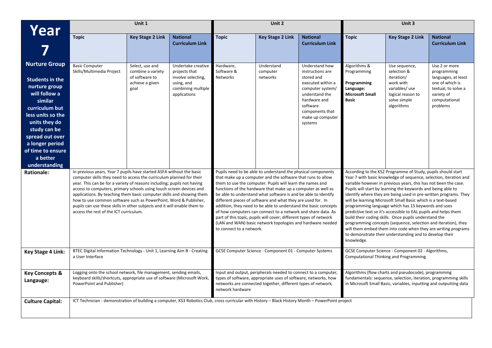| Year                                               | Unit 1                                                                                                                                                                                                                                                                                                                                                                                                                                                                                                                                                            |                                                        |                                                           |                                                                                                                                                                                                                                                                                                                                                                                                                                                                                                                                                                                                                             | Unit 2                                                       |                                                         |                                                                                                                                                                                                                                                                                                                                                                                                                                                                                                                                                                                                                                                                                                                                         | Unit 3                                                                                                                                                                                         |                                                      |
|----------------------------------------------------|-------------------------------------------------------------------------------------------------------------------------------------------------------------------------------------------------------------------------------------------------------------------------------------------------------------------------------------------------------------------------------------------------------------------------------------------------------------------------------------------------------------------------------------------------------------------|--------------------------------------------------------|-----------------------------------------------------------|-----------------------------------------------------------------------------------------------------------------------------------------------------------------------------------------------------------------------------------------------------------------------------------------------------------------------------------------------------------------------------------------------------------------------------------------------------------------------------------------------------------------------------------------------------------------------------------------------------------------------------|--------------------------------------------------------------|---------------------------------------------------------|-----------------------------------------------------------------------------------------------------------------------------------------------------------------------------------------------------------------------------------------------------------------------------------------------------------------------------------------------------------------------------------------------------------------------------------------------------------------------------------------------------------------------------------------------------------------------------------------------------------------------------------------------------------------------------------------------------------------------------------------|------------------------------------------------------------------------------------------------------------------------------------------------------------------------------------------------|------------------------------------------------------|
|                                                    | <b>Topic</b>                                                                                                                                                                                                                                                                                                                                                                                                                                                                                                                                                      | <b>Key Stage 2 Link</b>                                | <b>National</b><br><b>Curriculum Link</b>                 | <b>Topic</b>                                                                                                                                                                                                                                                                                                                                                                                                                                                                                                                                                                                                                | <b>Key Stage 2 Link</b>                                      | <b>National</b>                                         | <b>Topic</b>                                                                                                                                                                                                                                                                                                                                                                                                                                                                                                                                                                                                                                                                                                                            | <b>Key Stage 2 Link</b>                                                                                                                                                                        | <b>National</b>                                      |
|                                                    |                                                                                                                                                                                                                                                                                                                                                                                                                                                                                                                                                                   |                                                        |                                                           |                                                                                                                                                                                                                                                                                                                                                                                                                                                                                                                                                                                                                             |                                                              | <b>Curriculum Link</b>                                  |                                                                                                                                                                                                                                                                                                                                                                                                                                                                                                                                                                                                                                                                                                                                         |                                                                                                                                                                                                | <b>Curriculum Link</b>                               |
| <b>Nurture Group</b>                               | <b>Basic Computer</b><br>Skills/Multimedia Project                                                                                                                                                                                                                                                                                                                                                                                                                                                                                                                | Select, use and<br>combine a variety<br>of software to | Undertake creative<br>projects that<br>involve selecting, | Hardware,<br>Software &<br>Networks                                                                                                                                                                                                                                                                                                                                                                                                                                                                                                                                                                                         | Understand<br>computer<br>networks                           | Understand how<br>instructions are<br>stored and        | Algorithms &<br>Programming                                                                                                                                                                                                                                                                                                                                                                                                                                                                                                                                                                                                                                                                                                             | Use sequence,<br>selection &<br>iteration/                                                                                                                                                     | Use 2 or more<br>programming<br>languages, at least  |
| Students in the<br>nurture group<br>will follow a  |                                                                                                                                                                                                                                                                                                                                                                                                                                                                                                                                                                   | achieve a given<br>goal                                | using, and<br>combining multiple<br>applications          |                                                                                                                                                                                                                                                                                                                                                                                                                                                                                                                                                                                                                             |                                                              | executed within a<br>computer system/<br>understand the | Programming<br>Language:<br><b>Microsoft Small</b>                                                                                                                                                                                                                                                                                                                                                                                                                                                                                                                                                                                                                                                                                      | work with<br>variables/ use<br>logical reason to                                                                                                                                               | one of which is<br>textual, to solve a<br>variety of |
| similar<br>curriculum but                          |                                                                                                                                                                                                                                                                                                                                                                                                                                                                                                                                                                   |                                                        |                                                           |                                                                                                                                                                                                                                                                                                                                                                                                                                                                                                                                                                                                                             |                                                              | hardware and<br>software<br>components that             | <b>Basic</b>                                                                                                                                                                                                                                                                                                                                                                                                                                                                                                                                                                                                                                                                                                                            | solve simple<br>algorithms                                                                                                                                                                     | computational<br>problems                            |
| less units so the<br>units they do                 |                                                                                                                                                                                                                                                                                                                                                                                                                                                                                                                                                                   |                                                        |                                                           |                                                                                                                                                                                                                                                                                                                                                                                                                                                                                                                                                                                                                             |                                                              | make up computer<br>systems                             |                                                                                                                                                                                                                                                                                                                                                                                                                                                                                                                                                                                                                                                                                                                                         |                                                                                                                                                                                                |                                                      |
| study can be<br>spread out over<br>a longer period |                                                                                                                                                                                                                                                                                                                                                                                                                                                                                                                                                                   |                                                        |                                                           |                                                                                                                                                                                                                                                                                                                                                                                                                                                                                                                                                                                                                             |                                                              |                                                         |                                                                                                                                                                                                                                                                                                                                                                                                                                                                                                                                                                                                                                                                                                                                         |                                                                                                                                                                                                |                                                      |
| of time to ensure<br>a better                      |                                                                                                                                                                                                                                                                                                                                                                                                                                                                                                                                                                   |                                                        |                                                           |                                                                                                                                                                                                                                                                                                                                                                                                                                                                                                                                                                                                                             |                                                              |                                                         |                                                                                                                                                                                                                                                                                                                                                                                                                                                                                                                                                                                                                                                                                                                                         |                                                                                                                                                                                                |                                                      |
| understanding                                      |                                                                                                                                                                                                                                                                                                                                                                                                                                                                                                                                                                   |                                                        |                                                           |                                                                                                                                                                                                                                                                                                                                                                                                                                                                                                                                                                                                                             | Pupils need to be able to understand the physical components |                                                         |                                                                                                                                                                                                                                                                                                                                                                                                                                                                                                                                                                                                                                                                                                                                         | According to the KS2 Programme of Study, pupils should start                                                                                                                                   |                                                      |
| <b>Rationale:</b>                                  | In previous years, Year 7 pupils have started ASFA without the basic<br>computer skills they need to access the curriculum planned for their<br>year. This can be for a variety of reasons including; pupils not having<br>access to computers, primary schools using touch screen devices and<br>applications. By teaching them basic computer skills and showing them<br>how to use common software such as PowerPoint, Word & Publisher,<br>pupils can use these skills in other subjects and it will enable them to<br>access the rest of the ICT curriculum. |                                                        |                                                           | that make up a computer and the software that runs to allow<br>them to use the computer. Pupils will learn the names and<br>functions of the hardware that make up a computer as well as<br>be able to understand what software is and be able to identify<br>different pieces of software and what they are used for. In<br>addition, they need to be able to understand the basic concepts<br>of how computers can connect to a network and share data. As<br>part of this topic, pupils will cover; different types of network<br>(LAN and WAN) basic network topologies and hardware needed<br>to connect to a network. |                                                              |                                                         | Year 7 with basic knowledge of sequence, selection, iteration and<br>variable however in previous years, this has not been the case.<br>Pupils will start by learning the keywords and being able to<br>identify where they are being used in pre-written programs. They<br>will be learning Microsoft Small Basic which is a text-based<br>programming language which has 15 keywords and uses<br>predictive text so it's accessible to EAL pupils and helps them<br>build their coding skills. Once pupils understand the<br>programming concepts (sequence, selection and iteration), they<br>will them embed them into code when they are writing programs<br>to demonstrate their understanding and to develop their<br>knowledge. |                                                                                                                                                                                                |                                                      |
| <b>Key Stage 4 Link:</b>                           | BTEC Digital Information Technology - Unit 1, Learning Aim B - Creating<br>a User Interface                                                                                                                                                                                                                                                                                                                                                                                                                                                                       |                                                        |                                                           |                                                                                                                                                                                                                                                                                                                                                                                                                                                                                                                                                                                                                             | GCSE Computer Science - Component 01 - Computer Systems      |                                                         | GCSE Computer Science - Component 02 - Algorithms,<br>Computational Thinking and Programming                                                                                                                                                                                                                                                                                                                                                                                                                                                                                                                                                                                                                                            |                                                                                                                                                                                                |                                                      |
| <b>Key Concepts &amp;</b><br>Langauge:             | Logging onto the school network, file management, sending emails,<br>keyboard skills/shortcuts, appropriate use of software (Microsoft Work,<br>PowerPoint and Publisher)                                                                                                                                                                                                                                                                                                                                                                                         |                                                        |                                                           | Input and output, peripherals needed to connect to a computer,<br>types of software, appropriate uses of software, networks, how<br>networks are connected together, different types of network,<br>network hardware                                                                                                                                                                                                                                                                                                                                                                                                        |                                                              |                                                         |                                                                                                                                                                                                                                                                                                                                                                                                                                                                                                                                                                                                                                                                                                                                         | Algorithms (flow charts and pseudocode), programming<br>fundamentals: sequence, selection, iteration, programming skills<br>in Microsoft Small Basic, variables, inputting and outputting data |                                                      |
| <b>Culture Capital:</b>                            | ICT Technician - demonstration of building a computer, KS3 Robotics Club, cross curricular with History - Black History Month - PowerPoint project                                                                                                                                                                                                                                                                                                                                                                                                                |                                                        |                                                           |                                                                                                                                                                                                                                                                                                                                                                                                                                                                                                                                                                                                                             |                                                              |                                                         |                                                                                                                                                                                                                                                                                                                                                                                                                                                                                                                                                                                                                                                                                                                                         |                                                                                                                                                                                                |                                                      |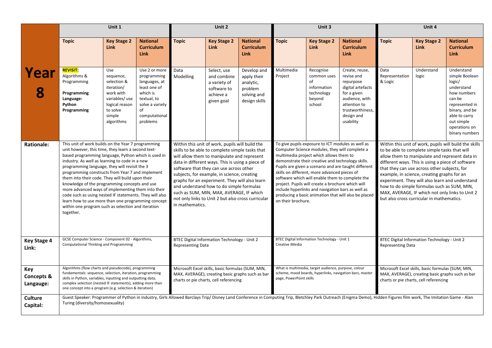|                                           | Unit 1                                                                                                                                                                                                                                                                                                                                                                                                                                                                                                                                                                                                                                                                |                                                                                                                                    |                                                                                                                                                 | Unit 2                                                                                                                                                                                                                                                                                                                                                                                                                                                                                                             |                                                                                                                                             |                                                                                                                                                                                                                                                                                                                                                                                                                                                                                                                                                        | Unit 3                                                                                                                                          |                                                                                 | Unit 4                                                                                                                                                                                                                                                                                                                                                                                                                                                |                                   |                                   |                                                                                                                                                                                                                                               |
|-------------------------------------------|-----------------------------------------------------------------------------------------------------------------------------------------------------------------------------------------------------------------------------------------------------------------------------------------------------------------------------------------------------------------------------------------------------------------------------------------------------------------------------------------------------------------------------------------------------------------------------------------------------------------------------------------------------------------------|------------------------------------------------------------------------------------------------------------------------------------|-------------------------------------------------------------------------------------------------------------------------------------------------|--------------------------------------------------------------------------------------------------------------------------------------------------------------------------------------------------------------------------------------------------------------------------------------------------------------------------------------------------------------------------------------------------------------------------------------------------------------------------------------------------------------------|---------------------------------------------------------------------------------------------------------------------------------------------|--------------------------------------------------------------------------------------------------------------------------------------------------------------------------------------------------------------------------------------------------------------------------------------------------------------------------------------------------------------------------------------------------------------------------------------------------------------------------------------------------------------------------------------------------------|-------------------------------------------------------------------------------------------------------------------------------------------------|---------------------------------------------------------------------------------|-------------------------------------------------------------------------------------------------------------------------------------------------------------------------------------------------------------------------------------------------------------------------------------------------------------------------------------------------------------------------------------------------------------------------------------------------------|-----------------------------------|-----------------------------------|-----------------------------------------------------------------------------------------------------------------------------------------------------------------------------------------------------------------------------------------------|
|                                           | <b>Topic</b>                                                                                                                                                                                                                                                                                                                                                                                                                                                                                                                                                                                                                                                          | <b>Key Stage 2</b><br><b>Link</b>                                                                                                  | <b>National</b><br><b>Curriculum</b><br><b>Link</b>                                                                                             | <b>Topic</b>                                                                                                                                                                                                                                                                                                                                                                                                                                                                                                       | <b>Key Stage 2</b><br><b>Link</b>                                                                                                           | <b>National</b><br><b>Curriculum</b><br>Link                                                                                                                                                                                                                                                                                                                                                                                                                                                                                                           | <b>Topic</b>                                                                                                                                    | <b>Key Stage 2</b><br><b>Link</b>                                               | <b>National</b><br><b>Curriculum</b><br><b>Link</b>                                                                                                                                                                                                                                                                                                                                                                                                   | <b>Topic</b>                      | <b>Key Stage 2</b><br><b>Link</b> | <b>National</b><br><b>Curriculum</b><br><b>Link</b>                                                                                                                                                                                           |
| Year                                      | <b>REVISIT:</b><br>Algorithms &<br>Programming<br>Programming<br>Language:<br>Python<br>Programming                                                                                                                                                                                                                                                                                                                                                                                                                                                                                                                                                                   | Use<br>sequence,<br>selection &<br>iteration/<br>work with<br>variables/ use<br>logical reason<br>to solve<br>simple<br>algorithms | Use 2 or more<br>programming<br>languages, at<br>least one of<br>which is<br>textual, to<br>solve a variety<br>of<br>computational<br>problems  | Data<br>Modelling                                                                                                                                                                                                                                                                                                                                                                                                                                                                                                  | Select, use<br>and combine<br>a variety of<br>software to<br>achieve a<br>given goal                                                        | Develop and<br>apply their<br>analytic,<br>problem<br>solving and<br>design skills                                                                                                                                                                                                                                                                                                                                                                                                                                                                     | Multimedia<br>Project                                                                                                                           | Recognise<br>common uses<br>of<br>information<br>technology<br>beyond<br>school | Create, reuse,<br>revise and<br>repurpose<br>digital artefacts<br>for a given<br>audience, with<br>attention to<br>trustworthiness,<br>design and<br>usability                                                                                                                                                                                                                                                                                        | Data<br>Representation<br>& Logic | Understand<br>logic               | Understand<br>simple Boolean<br>logic/<br>understand<br>how numbers<br>can be<br>represented in<br>binary, and be<br>able to carry<br>out simple<br>operations on<br>binary numbers<br>Within this unit of work, pupils will build the skills |
| <b>Rationale:</b>                         | This unit of work builds on the Year 7 programming<br>unit however, this time, they learn a second text-<br>based programming language, Python which is used in<br>industry. As well as learning to code in a new<br>programming language, they will revisit the 3<br>programming constructs from Year 7 and implement<br>them into their code. They will build upon their<br>knowledge of the programming concepts and use<br>more advanced ways of implementing them into their<br>code such as using nested IF statements. They will also<br>learn how to use more than one programming concept<br>within one program such as selection and iteration<br>together. |                                                                                                                                    |                                                                                                                                                 | Within this unit of work, pupils will build the<br>skills to be able to complete simple tasks that<br>will allow them to manipulate and represent<br>data in different ways. This is using a piece of<br>software that they can use across other<br>subjects, for example, in science, creating<br>graphs for an experiment. They will also learn<br>and understand how to do simple formulas<br>such as SUM, MIN, MAX, AVERAGE, IF which<br>not only links to Unit 2 but also cross curricular<br>in mathematics. |                                                                                                                                             | To give pupils exposure to ICT modules as well as<br>Computer Science modules, they will complete a<br>multimedia project which allows them to<br>demonstrate their creative and technology skills.<br>Pupils are given a scenario and are taught different<br>skills on different, more advanced pieces of<br>software which will enable them to complete the<br>project. Pupils will create a brochure which will<br>include hyperlinks and navigation bars as well as<br>producing a basic animation that will also be placed<br>on their brochure. |                                                                                                                                                 |                                                                                 | to be able to complete simple tasks that will<br>allow them to manipulate and represent data in<br>different ways. This is using a piece of software<br>that they can use across other subjects, for<br>example, in science, creating graphs for an<br>experiment. They will also learn and understand<br>how to do simple formulas such as SUM, MIN,<br>MAX, AVERAGE, IF which not only links to Unit 2<br>but also cross curricular in mathematics. |                                   |                                   |                                                                                                                                                                                                                                               |
| <b>Key Stage 4</b><br>Link:               | GCSE Computer Science - Component 02 - Algorithms,<br>Computational Thinking and Programming                                                                                                                                                                                                                                                                                                                                                                                                                                                                                                                                                                          |                                                                                                                                    |                                                                                                                                                 | BTEC Digital Information Technology - Unit 2<br><b>Representing Data</b>                                                                                                                                                                                                                                                                                                                                                                                                                                           |                                                                                                                                             | Creative iMedia                                                                                                                                                                                                                                                                                                                                                                                                                                                                                                                                        | BTEC Digital Information Technology - Unit 1                                                                                                    |                                                                                 | BTEC Digital Information Technology - Unit 2<br><b>Representing Data</b>                                                                                                                                                                                                                                                                                                                                                                              |                                   |                                   |                                                                                                                                                                                                                                               |
| Key<br><b>Concepts &amp;</b><br>Langauge: | Algorithms (flow charts and pseudocode), programming<br>fundamentals: sequence, selection, iteration, programming<br>skills in Python, variables, inputting and outputting data,<br>complex selection (nested IF statements), adding more than<br>one concept into a program (e.g. selection & iteration)                                                                                                                                                                                                                                                                                                                                                             |                                                                                                                                    | Microsoft Excel skills, basic formulas (SUM, MIN,<br>MAX, AVERAGE), creating basic graphs such as bar<br>charts or pie charts, cell referencing |                                                                                                                                                                                                                                                                                                                                                                                                                                                                                                                    | What is multimedia, target audience, purpose, colour<br>scheme, mood boards, hyperlinks, navigation bars, master<br>page, PowerPoint skills |                                                                                                                                                                                                                                                                                                                                                                                                                                                                                                                                                        | Microsoft Excel skills, basic formulas (SUM, MIN,<br>MAX, AVERAGE), creating basic graphs such as bar<br>charts or pie charts, cell referencing |                                                                                 |                                                                                                                                                                                                                                                                                                                                                                                                                                                       |                                   |                                   |                                                                                                                                                                                                                                               |
| <b>Culture</b><br>Capital:                | Guest Speaker: Programmer of Python in industry, Girls Allowed Barclays Trip/ Disney Land Conference in Computing Trip, Bletchley Park Outreach (Enigma Demo), Hidden Figures film work, The Imitation Game - Alan<br>Turing (diversity/homosexuality)                                                                                                                                                                                                                                                                                                                                                                                                                |                                                                                                                                    |                                                                                                                                                 |                                                                                                                                                                                                                                                                                                                                                                                                                                                                                                                    |                                                                                                                                             |                                                                                                                                                                                                                                                                                                                                                                                                                                                                                                                                                        |                                                                                                                                                 |                                                                                 |                                                                                                                                                                                                                                                                                                                                                                                                                                                       |                                   |                                   |                                                                                                                                                                                                                                               |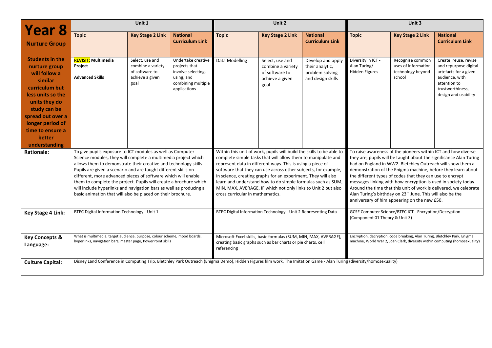| Year 8                                                                                                                                                                                                                              | Unit 1                                                                                                                                                                                                                                                                                                                                                                                                                                                                                                                                        |                                                                                   |                                                                                                                                                                                                                                                                                                                                                                                                                                                                                                           |                                                                                                                                                 | Unit 2                                                                            |                                                                                                                                                                                                                                                                                                                                                                                                                                                                                                                                                                                     |                                                             | Unit 3                                                                     |                                                                                                                                                       |
|-------------------------------------------------------------------------------------------------------------------------------------------------------------------------------------------------------------------------------------|-----------------------------------------------------------------------------------------------------------------------------------------------------------------------------------------------------------------------------------------------------------------------------------------------------------------------------------------------------------------------------------------------------------------------------------------------------------------------------------------------------------------------------------------------|-----------------------------------------------------------------------------------|-----------------------------------------------------------------------------------------------------------------------------------------------------------------------------------------------------------------------------------------------------------------------------------------------------------------------------------------------------------------------------------------------------------------------------------------------------------------------------------------------------------|-------------------------------------------------------------------------------------------------------------------------------------------------|-----------------------------------------------------------------------------------|-------------------------------------------------------------------------------------------------------------------------------------------------------------------------------------------------------------------------------------------------------------------------------------------------------------------------------------------------------------------------------------------------------------------------------------------------------------------------------------------------------------------------------------------------------------------------------------|-------------------------------------------------------------|----------------------------------------------------------------------------|-------------------------------------------------------------------------------------------------------------------------------------------------------|
| <b>Nurture Group</b>                                                                                                                                                                                                                | <b>Topic</b>                                                                                                                                                                                                                                                                                                                                                                                                                                                                                                                                  | <b>Key Stage 2 Link</b>                                                           | <b>National</b><br><b>Curriculum Link</b>                                                                                                                                                                                                                                                                                                                                                                                                                                                                 | <b>Topic</b>                                                                                                                                    | <b>Key Stage 2 Link</b>                                                           | <b>National</b><br><b>Curriculum Link</b>                                                                                                                                                                                                                                                                                                                                                                                                                                                                                                                                           | <b>Topic</b>                                                | <b>Key Stage 2 Link</b>                                                    | <b>National</b><br><b>Curriculum Link</b>                                                                                                             |
| <b>Students in the</b><br>nurture group<br>will follow a<br>similar<br>curriculum but<br>less units so the<br>units they do<br>study can be<br>spread out over a<br>longer period of<br>time to ensure a<br>better<br>understanding | <b>REVISIT:</b> Multimedia<br>Project<br><b>Advanced Skills</b>                                                                                                                                                                                                                                                                                                                                                                                                                                                                               | Select, use and<br>combine a variety<br>of software to<br>achieve a given<br>goal | Undertake creative<br>projects that<br>involve selecting,<br>using, and<br>combining multiple<br>applications                                                                                                                                                                                                                                                                                                                                                                                             | Data Modelling                                                                                                                                  | Select, use and<br>combine a variety<br>of software to<br>achieve a given<br>goal | Develop and apply<br>their analytic,<br>problem solving<br>and design skills                                                                                                                                                                                                                                                                                                                                                                                                                                                                                                        | Diversity in ICT -<br>Alan Turing/<br><b>Hidden Figures</b> | Recognise common<br>uses of information<br>technology beyond<br>school     | Create, reuse, revise<br>and repurpose digital<br>artefacts for a given<br>audience, with<br>attention to<br>trustworthiness,<br>design and usability |
| <b>Rationale:</b>                                                                                                                                                                                                                   | To give pupils exposure to ICT modules as well as Computer<br>Science modules, they will complete a multimedia project which<br>allows them to demonstrate their creative and technology skills.<br>Pupils are given a scenario and are taught different skills on<br>different, more advanced pieces of software which will enable<br>them to complete the project. Pupils will create a brochure which<br>will include hyperlinks and navigation bars as well as producing a<br>basic animation that will also be placed on their brochure. |                                                                                   | Within this unit of work, pupils will build the skills to be able to<br>complete simple tasks that will allow them to manipulate and<br>represent data in different ways. This is using a piece of<br>software that they can use across other subjects, for example,<br>in science, creating graphs for an experiment. They will also<br>learn and understand how to do simple formulas such as SUM,<br>MIN, MAX, AVERAGE, IF which not only links to Unit 2 but also<br>cross curricular in mathematics. |                                                                                                                                                 |                                                                                   | To raise awareness of the pioneers within ICT and how diverse<br>they are, pupils will be taught about the significance Alan Turing<br>had on England in WW2. Bletchley Outreach will show them a<br>demonstration of the Enigma machine, before they learn about<br>the different types of codes that they can use to encrypt<br>messages linking with how encryption is used in society today.<br>Around the time that this unit of work is delivered, we celebrate<br>Alan Turing's birthday on 23rd June. This will also be the<br>anniversary of him appearing on the new £50. |                                                             |                                                                            |                                                                                                                                                       |
| <b>Key Stage 4 Link:</b>                                                                                                                                                                                                            | BTEC Digital Information Technology - Unit 1                                                                                                                                                                                                                                                                                                                                                                                                                                                                                                  |                                                                                   | BTEC Digital Information Technology - Unit 2 Representing Data                                                                                                                                                                                                                                                                                                                                                                                                                                            |                                                                                                                                                 |                                                                                   | GCSE Computer Science/BTEC ICT - Encryption/Decryption<br>(Component 01 Theory & Unit 3)                                                                                                                                                                                                                                                                                                                                                                                                                                                                                            |                                                             |                                                                            |                                                                                                                                                       |
| <b>Key Concepts &amp;</b><br>Language:                                                                                                                                                                                              | What is multimedia, target audience, purpose, colour scheme, mood boards,<br>hyperlinks, navigation bars, master page, PowerPoint skills                                                                                                                                                                                                                                                                                                                                                                                                      |                                                                                   |                                                                                                                                                                                                                                                                                                                                                                                                                                                                                                           | Microsoft Excel skills, basic formulas (SUM, MIN, MAX, AVERAGE),<br>creating basic graphs such as bar charts or pie charts, cell<br>referencing |                                                                                   |                                                                                                                                                                                                                                                                                                                                                                                                                                                                                                                                                                                     |                                                             | Encryption, decryption, code breaking, Alan Turing, Bletchley Park, Enigma | machine, World War 2, Joan Clark, diversity within computing (homosexuality)                                                                          |
| <b>Culture Capital:</b>                                                                                                                                                                                                             | Disney Land Conference in Computing Trip, Bletchley Park Outreach (Enigma Demo), Hidden Figures film work, The Imitation Game - Alan Turing (diversity/homosexuality)                                                                                                                                                                                                                                                                                                                                                                         |                                                                                   |                                                                                                                                                                                                                                                                                                                                                                                                                                                                                                           |                                                                                                                                                 |                                                                                   |                                                                                                                                                                                                                                                                                                                                                                                                                                                                                                                                                                                     |                                                             |                                                                            |                                                                                                                                                       |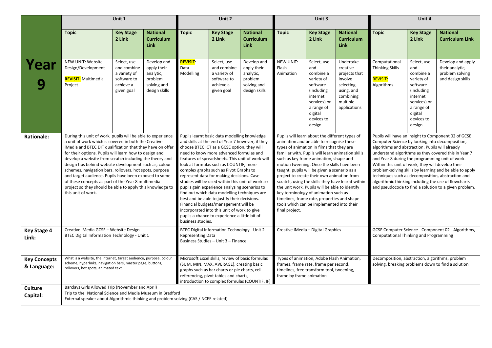|                                    | Unit 1                                                                                                                                                                                                                                                                                                                                                                                                                                                                                                                                                                                                                       |                                                                                      |                                                                                                                                                                                                                                                                                                                                                                                                                                                                                                                                                                                                                                                                                                                                                   | Unit 2                                                                                                                                                                                                                                   |                                                                                      |                                                                                                                                                                                                                                                                                                                                                                                                                                                                                                                                                                                                                               | Unit 3                                                                                                                                                       |                                                                                                                                                                                                                                                                                                                                                                                                                                                                                                                                                            | Unit 4                                                                                                                 |                                                                          |                                                                                                                                                       |                                                                              |
|------------------------------------|------------------------------------------------------------------------------------------------------------------------------------------------------------------------------------------------------------------------------------------------------------------------------------------------------------------------------------------------------------------------------------------------------------------------------------------------------------------------------------------------------------------------------------------------------------------------------------------------------------------------------|--------------------------------------------------------------------------------------|---------------------------------------------------------------------------------------------------------------------------------------------------------------------------------------------------------------------------------------------------------------------------------------------------------------------------------------------------------------------------------------------------------------------------------------------------------------------------------------------------------------------------------------------------------------------------------------------------------------------------------------------------------------------------------------------------------------------------------------------------|------------------------------------------------------------------------------------------------------------------------------------------------------------------------------------------------------------------------------------------|--------------------------------------------------------------------------------------|-------------------------------------------------------------------------------------------------------------------------------------------------------------------------------------------------------------------------------------------------------------------------------------------------------------------------------------------------------------------------------------------------------------------------------------------------------------------------------------------------------------------------------------------------------------------------------------------------------------------------------|--------------------------------------------------------------------------------------------------------------------------------------------------------------|------------------------------------------------------------------------------------------------------------------------------------------------------------------------------------------------------------------------------------------------------------------------------------------------------------------------------------------------------------------------------------------------------------------------------------------------------------------------------------------------------------------------------------------------------------|------------------------------------------------------------------------------------------------------------------------|--------------------------------------------------------------------------|-------------------------------------------------------------------------------------------------------------------------------------------------------|------------------------------------------------------------------------------|
|                                    | <b>Topic</b>                                                                                                                                                                                                                                                                                                                                                                                                                                                                                                                                                                                                                 | <b>Key Stage</b><br>2 Link                                                           | <b>National</b><br><b>Curriculum</b><br><b>Link</b>                                                                                                                                                                                                                                                                                                                                                                                                                                                                                                                                                                                                                                                                                               | <b>Topic</b>                                                                                                                                                                                                                             | <b>Key Stage</b><br>2 Link                                                           | <b>National</b><br><b>Curriculum</b><br><b>Link</b>                                                                                                                                                                                                                                                                                                                                                                                                                                                                                                                                                                           | <b>Topic</b>                                                                                                                                                 | <b>Key Stage</b><br>2 Link                                                                                                                                                                                                                                                                                                                                                                                                                                                                                                                                 | <b>National</b><br><b>Curriculum</b><br><b>Link</b>                                                                    | <b>Topic</b>                                                             | <b>Key Stage</b><br>2 Link                                                                                                                            | <b>National</b><br><b>Curriculum Link</b>                                    |
| Year                               | NEW UNIT: Website<br>Design/Development<br><b>REVISIT:</b> Multimedia<br>Project                                                                                                                                                                                                                                                                                                                                                                                                                                                                                                                                             | Select, use<br>and combine<br>a variety of<br>software to<br>achieve a<br>given goal | Develop and<br>apply their<br>analytic,<br>problem<br>solving and<br>design skills                                                                                                                                                                                                                                                                                                                                                                                                                                                                                                                                                                                                                                                                | <b>REVISIT:</b><br>Data<br>Modelling                                                                                                                                                                                                     | Select, use<br>and combine<br>a variety of<br>software to<br>achieve a<br>given goal | Develop and<br>apply their<br>analytic,<br>problem<br>solving and<br>design skills                                                                                                                                                                                                                                                                                                                                                                                                                                                                                                                                            | NEW UNIT:<br>Flash<br>Animation                                                                                                                              | Select, use<br>and<br>combine a<br>variety of<br>software<br>(including)<br>internet<br>services) on<br>a range of<br>digital<br>devices to<br>design                                                                                                                                                                                                                                                                                                                                                                                                      | Undertake<br>creative<br>projects that<br>involve<br>selecting,<br>using, and<br>combining<br>multiple<br>applications | Computational<br><b>Thinking Skills</b><br><b>REVISIT:</b><br>Algorithms | Select, use<br>and<br>combine a<br>variety of<br>software<br>(including)<br>internet<br>services) on<br>a range of<br>digital<br>devices to<br>design | Develop and apply<br>their analytic,<br>problem solving<br>and design skills |
| <b>Rationale:</b>                  | During this unit of work, pupils will be able to experience<br>a unit of work which is covered in both the Creative<br>iMedia and BTEC DIT qualification that they have on offer<br>for their options. Pupils will learn how to design and<br>develop a website from scratch including the theory and<br>design tips behind website development such as; colour<br>schemes, navigation bars, rollovers, hot spots, purpose<br>and target audience. Pupils have been exposed to some<br>of these concepts as part of the Year 8 multimedia<br>project so they should be able to apply this knowledge to<br>this unit of work. |                                                                                      | Pupils learnt basic data modelling knowledge<br>and skills at the end of Year 7 however, if they<br>choose BTEC ICT as a GCSE option, they will<br>need to know more advanced formulas and<br>features of spreadsheets. This unit of work will<br>look at formulas such as COUNTIF, more<br>complex graphs such as Pivot Graphs to<br>represent data for making decisions. Case<br>studies will be used within this unit of work so<br>pupils gain experience analysing scenarios to<br>find out which data modelling techniques are<br>best and be able to justify their decisions.<br>Financial budgets/management will be<br>incorporated into this unit of work to give<br>pupils a chance to experience a little bit of<br>business studies. |                                                                                                                                                                                                                                          | final project.                                                                       | Pupils will learn about the different types of<br>animation and be able to recognise these<br>types of animation in films that they are<br>familiar with. Pupils will learn animation skills<br>such as key frame animation, shape and<br>motion tweening. Once the skills have been<br>taught, pupils will be given a scenario as a<br>project to create their own animation from<br>scratch, using the skills they have learnt within<br>the unit work. Pupils will be able to identify<br>key terminology of animation such as<br>timelines, frame rate, properties and shape<br>tools which can be implemented into their |                                                                                                                                                              | Pupils will have an insight to Component 02 of GCSE<br>Computer Science by looking into decomposition,<br>algorithms and abstraction. Pupils will already<br>understand algorithms as they covered this in Year 7<br>and Year 8 during the programming unit of work.<br>Within this unit of work, they will develop their<br>problem-solving skills by learning and be able to apply<br>techniques such as decomposition, abstraction and<br>algorithmic thinking including the use of flowcharts<br>and pseudocode to find a solution to a given problem. |                                                                                                                        |                                                                          |                                                                                                                                                       |                                                                              |
| <b>Key Stage 4</b><br>Link:        | Creative iMedia GCSE - Website Design<br>BTEC Digital Information Technology - Unit 1                                                                                                                                                                                                                                                                                                                                                                                                                                                                                                                                        |                                                                                      |                                                                                                                                                                                                                                                                                                                                                                                                                                                                                                                                                                                                                                                                                                                                                   | BTEC Digital Information Technology - Unit 2<br><b>Representing Data</b><br>Business Studies - Unit 3 - Finance                                                                                                                          |                                                                                      |                                                                                                                                                                                                                                                                                                                                                                                                                                                                                                                                                                                                                               | Creative iMedia - Digital Graphics                                                                                                                           |                                                                                                                                                                                                                                                                                                                                                                                                                                                                                                                                                            | GCSE Computer Science - Component 02 - Algorithms,<br>Computational Thinking and Programming                           |                                                                          |                                                                                                                                                       |                                                                              |
| <b>Key Concepts</b><br>& Language: | What is a website, the internet, target audience, purpose, colour<br>scheme, hyperlinks, navigation bars, master page, buttons,<br>rollovers, hot spots, animated text                                                                                                                                                                                                                                                                                                                                                                                                                                                       |                                                                                      |                                                                                                                                                                                                                                                                                                                                                                                                                                                                                                                                                                                                                                                                                                                                                   | Microsoft Excel skills, review of basic formulas<br>(SUM, MIN, MAX, AVERAGE), creating basic<br>graphs such as bar charts or pie charts, cell<br>referencing, pivot tables and charts,<br>introduction to complex formulas (COUNTIF, IF) |                                                                                      |                                                                                                                                                                                                                                                                                                                                                                                                                                                                                                                                                                                                                               | Types of animation, Adobe Flash Animation,<br>frames, frame rate, frame per second,<br>timelines, free transform tool, tweening,<br>frame by frame animation |                                                                                                                                                                                                                                                                                                                                                                                                                                                                                                                                                            | Decomposition, abstraction, algorithms, problem<br>solving, breaking problems down to find a solution                  |                                                                          |                                                                                                                                                       |                                                                              |
| <b>Culture</b><br>Capital:         | Barclays Girls Allowed Trip (November and April)<br>Trip to the National Science and Media Museum in Bradford<br>External speaker about Algorithmic thinking and problem solving (CAS / NCEE related)                                                                                                                                                                                                                                                                                                                                                                                                                        |                                                                                      |                                                                                                                                                                                                                                                                                                                                                                                                                                                                                                                                                                                                                                                                                                                                                   |                                                                                                                                                                                                                                          |                                                                                      |                                                                                                                                                                                                                                                                                                                                                                                                                                                                                                                                                                                                                               |                                                                                                                                                              |                                                                                                                                                                                                                                                                                                                                                                                                                                                                                                                                                            |                                                                                                                        |                                                                          |                                                                                                                                                       |                                                                              |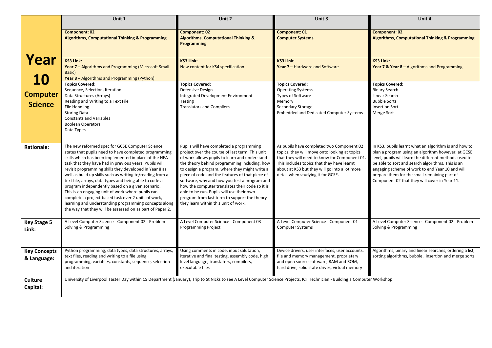|                                    | Unit 1                                                                                                                                                                                                                                                                                                                                                                                                                                                                                                                                                                                                                                                                                             | Unit 2                                                                                                                                                                                                                                                                                                                                                                                                                                                                                                                                   | Unit 3                                                                                                                                                                                                                                                                          | Unit 4                                                                                                                                                                                                                                                                                                                                                                         |  |
|------------------------------------|----------------------------------------------------------------------------------------------------------------------------------------------------------------------------------------------------------------------------------------------------------------------------------------------------------------------------------------------------------------------------------------------------------------------------------------------------------------------------------------------------------------------------------------------------------------------------------------------------------------------------------------------------------------------------------------------------|------------------------------------------------------------------------------------------------------------------------------------------------------------------------------------------------------------------------------------------------------------------------------------------------------------------------------------------------------------------------------------------------------------------------------------------------------------------------------------------------------------------------------------------|---------------------------------------------------------------------------------------------------------------------------------------------------------------------------------------------------------------------------------------------------------------------------------|--------------------------------------------------------------------------------------------------------------------------------------------------------------------------------------------------------------------------------------------------------------------------------------------------------------------------------------------------------------------------------|--|
|                                    | <b>Component: 02</b><br><b>Algorithms, Computational Thinking &amp; Programming</b>                                                                                                                                                                                                                                                                                                                                                                                                                                                                                                                                                                                                                | <b>Component: 02</b><br><b>Algorithms, Computational Thinking &amp;</b><br>Programming                                                                                                                                                                                                                                                                                                                                                                                                                                                   | Component: 01<br><b>Computer Systems</b>                                                                                                                                                                                                                                        | <b>Component: 02</b><br><b>Algorithms, Computational Thinking &amp; Programming</b>                                                                                                                                                                                                                                                                                            |  |
| Year<br>10                         | <b>KS3 Link:</b><br>Year 7 - Algorithms and Programming (Microsoft Small<br>Basic)<br>Year 8 - Algorithms and Programming (Python)                                                                                                                                                                                                                                                                                                                                                                                                                                                                                                                                                                 | <b>KS3 Link:</b><br>New content for KS4 specification                                                                                                                                                                                                                                                                                                                                                                                                                                                                                    | <b>KS3 Link:</b><br>Year 7 - Hardware and Software                                                                                                                                                                                                                              | <b>KS3 Link:</b><br>Year 7 & Year 8 – Algorithms and Programming                                                                                                                                                                                                                                                                                                               |  |
| <b>Computer</b><br><b>Science</b>  | <b>Topics Covered:</b><br>Sequence, Selection, Iteration<br>Data Structures (Arrays)<br>Reading and Writing to a Text File<br><b>File Handling</b><br><b>Storing Data</b><br><b>Constants and Variables</b><br><b>Boolean Operators</b><br>Data Types                                                                                                                                                                                                                                                                                                                                                                                                                                              | <b>Topics Covered:</b><br>Defensive Design<br>Integrated Development Environment<br><b>Testing</b><br><b>Translators and Compilers</b>                                                                                                                                                                                                                                                                                                                                                                                                   | <b>Topics Covered:</b><br><b>Operating Systems</b><br>Types of Software<br>Memory<br>Secondary Storage<br><b>Embedded and Dedicated Computer Systems</b>                                                                                                                        | <b>Topics Covered:</b><br><b>Binary Search</b><br>Linear Search<br><b>Bubble Sorts</b><br><b>Insertion Sort</b><br>Merge Sort                                                                                                                                                                                                                                                  |  |
| <b>Rationale:</b>                  | The new reformed spec for GCSE Computer Science<br>states that pupils need to have completed programming<br>skills which has been implemented in place of the NEA<br>task that they have had in previous years. Pupils will<br>revisit programming skills they developed in Year 8 as<br>well as build up skills such as writing to/reading from a<br>text file, arrays, data types and being able to code a<br>program independently based on a given scenario.<br>This is an engaging unit of work where pupils can<br>complete a project-based task over 2 units of work,<br>learning and understanding programming concepts along<br>the way that they will be assessed on as part of Paper 2. | Pupils will have completed a programming<br>project over the course of last term. This unit<br>of work allows pupils to learn and understand<br>the theory behind programming including, how<br>to design a program, where they might write a<br>piece of code and the features of that piece of<br>software, why and how you test a program and<br>how the computer translates their code so it is<br>able to be run. Pupils will use their own<br>program from last term to support the theory<br>they learn within this unit of work. | As pupils have completed two Component 02<br>topics, they will move onto looking at topics<br>that they will need to know for Component 01.<br>This includes topics that they have learnt<br>about at KS3 but they will go into a lot more<br>detail when studying it for GCSE. | In KS3, pupils learnt what an algorithm is and how to<br>plan a program using an algorithm however, at GCSE<br>level, pupils will learn the different methods used to<br>be able to sort and search algorithms. This is an<br>engaging scheme of work to end Year 10 and will<br>prepare them for the small remaining part of<br>Component 02 that they will cover in Year 11. |  |
| <b>Key Stage 5</b><br>Link:        | A Level Computer Science - Component 02 - Problem<br>Solving & Programming                                                                                                                                                                                                                                                                                                                                                                                                                                                                                                                                                                                                                         | A Level Computer Science - Component 03 -<br><b>Programming Project</b>                                                                                                                                                                                                                                                                                                                                                                                                                                                                  | A Level Computer Science - Component 01 -<br><b>Computer Systems</b>                                                                                                                                                                                                            | A Level Computer Science - Component 02 - Problem<br>Solving & Programming                                                                                                                                                                                                                                                                                                     |  |
| <b>Key Concepts</b><br>& Language: | Python programming, data types, data structures, arrays,<br>text files, reading and writing to a file using<br>programming, variables, constants, sequence, selection<br>and iteration                                                                                                                                                                                                                                                                                                                                                                                                                                                                                                             | Using comments in code, input salutation,<br>iterative and final testing, assembly code, high<br>level language, translators, compilers,<br>executable files                                                                                                                                                                                                                                                                                                                                                                             | Device drivers, user interfaces, user accounts,<br>file and memory management, proprietary<br>and open source software, RAM and ROM,<br>hard drive, solid state drives, virtual memory                                                                                          | Algorithms, binary and linear searches, ordering a list,<br>sorting algorithms, bubble, insertion and merge sorts                                                                                                                                                                                                                                                              |  |
| <b>Culture</b><br>Capital:         | University of Liverpool Taster Day within CS Department (January), Trip to St Nicks to see A Level Computer Science Projects, ICT Technician - Building a Computer Workshop                                                                                                                                                                                                                                                                                                                                                                                                                                                                                                                        |                                                                                                                                                                                                                                                                                                                                                                                                                                                                                                                                          |                                                                                                                                                                                                                                                                                 |                                                                                                                                                                                                                                                                                                                                                                                |  |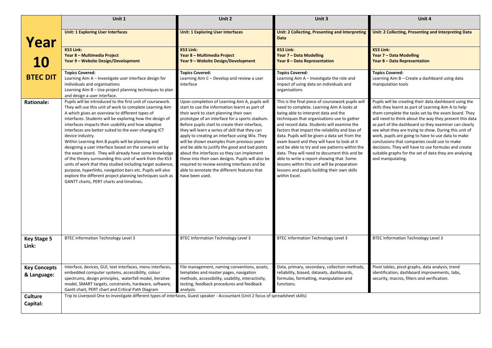|                                    | Unit 1                                                                                                                                                                                                                                                                                                                                                                                                                                                                                                                                                                                                                                                                                                                                                                                                                                              | Unit 2                                                                                                                                                                                                                                                                                                                                                                                                                                                                                                                                                                                                                                                                      | Unit 3                                                                                                                                                                                                                                                                                                                                                                                                                                                                                                                                                                                                                                                  | Unit 4                                                                                                                                                                                                                                                                                                                                                                                                                                                                                                                                                                                          |
|------------------------------------|-----------------------------------------------------------------------------------------------------------------------------------------------------------------------------------------------------------------------------------------------------------------------------------------------------------------------------------------------------------------------------------------------------------------------------------------------------------------------------------------------------------------------------------------------------------------------------------------------------------------------------------------------------------------------------------------------------------------------------------------------------------------------------------------------------------------------------------------------------|-----------------------------------------------------------------------------------------------------------------------------------------------------------------------------------------------------------------------------------------------------------------------------------------------------------------------------------------------------------------------------------------------------------------------------------------------------------------------------------------------------------------------------------------------------------------------------------------------------------------------------------------------------------------------------|---------------------------------------------------------------------------------------------------------------------------------------------------------------------------------------------------------------------------------------------------------------------------------------------------------------------------------------------------------------------------------------------------------------------------------------------------------------------------------------------------------------------------------------------------------------------------------------------------------------------------------------------------------|-------------------------------------------------------------------------------------------------------------------------------------------------------------------------------------------------------------------------------------------------------------------------------------------------------------------------------------------------------------------------------------------------------------------------------------------------------------------------------------------------------------------------------------------------------------------------------------------------|
| Year                               | <b>Unit: 1 Exploring User Interfaces</b>                                                                                                                                                                                                                                                                                                                                                                                                                                                                                                                                                                                                                                                                                                                                                                                                            | <b>Unit: 1 Exploring User Interfaces</b>                                                                                                                                                                                                                                                                                                                                                                                                                                                                                                                                                                                                                                    | Unit: 2 Collecting, Presenting and Interpreting<br><b>Data</b>                                                                                                                                                                                                                                                                                                                                                                                                                                                                                                                                                                                          | Unit: 2 Collecting, Presenting and Interpreting Data                                                                                                                                                                                                                                                                                                                                                                                                                                                                                                                                            |
| 10                                 | <b>KS3 Link:</b><br>Year 8 - Multimedia Project<br>Year 9 - Website Design/Development                                                                                                                                                                                                                                                                                                                                                                                                                                                                                                                                                                                                                                                                                                                                                              | <b>KS3 Link:</b><br>Year 8 - Multimedia Project<br>Year 9 – Website Design/Development                                                                                                                                                                                                                                                                                                                                                                                                                                                                                                                                                                                      | <b>KS3 Link:</b><br>Year 7 - Data Modelling<br><b>Year 8 – Data Representation</b>                                                                                                                                                                                                                                                                                                                                                                                                                                                                                                                                                                      | <b>KS3 Link:</b><br>Year 7 - Data Modelling<br>Year 8 - Data Representation                                                                                                                                                                                                                                                                                                                                                                                                                                                                                                                     |
| <b>BTEC DIT</b>                    | <b>Topics Covered:</b><br>Learning Aim A - Investigate user interface design for<br>individuals and organisations<br>Learning Aim B - Use project planning techniques to plan<br>and design a user interface.                                                                                                                                                                                                                                                                                                                                                                                                                                                                                                                                                                                                                                       | <b>Topics Covered:</b><br>Learning Aim C - Develop and review a user<br>interface                                                                                                                                                                                                                                                                                                                                                                                                                                                                                                                                                                                           | <b>Topics Covered:</b><br>Learning Aim A - Investigate the role and<br>impact of using data on individuals and<br>organisations                                                                                                                                                                                                                                                                                                                                                                                                                                                                                                                         | <b>Topics Covered:</b><br>Learning Aim B - Create a dashboard using data<br>manipulation tools                                                                                                                                                                                                                                                                                                                                                                                                                                                                                                  |
| <b>Rationale:</b>                  | Pupils will be introduced to the first unit of coursework.<br>They will use this unit of work to complete Learning Aim<br>A which gives an overview to different types of<br>interfaces. Students will be exploring how the design of<br>interfaces impacts their usability and how adaptive<br>interfaces are better suited to the ever-changing ICT<br>device industry.<br>Within Learning Aim B pupils will be planning and<br>designing a user interface based on the scenario set by<br>the exam board. They will already have some knowledge<br>of the theory surrounding this unit of work from the KS3<br>units of work that they studied including target audience,<br>purpose, hyperlinks, navigation bars etc. Pupils will also<br>explore the different project planning techniques such as<br>GANTT charts, PERT charts and timelines. | Upon completion of Learning Aim A, pupils will<br>start to use the information learnt as part of<br>their work to start planning their own<br>prototype of an interface for a sports stadium.<br>Before pupils start to create their interface,<br>they will learn a series of skill that they can<br>apply to creating an interface using Wix. They<br>will be shown examples from previous years<br>and be able to justify the good and bad points<br>about the interfaces so they can implement<br>these into their own designs. Pupils will also be<br>required to review existing interfaces and be<br>able to annotate the different features that<br>have been used. | This is the final piece of coursework pupils will<br>need to complete. Learning Aim A looks at<br>being able to interpret data and the<br>techniques that organisations use to gather<br>and record data. Students will examine the<br>factors that impact the reliability and bias of<br>data. Pupils will be given a data set from the<br>exam board and they will have to look at it<br>and be able to try and see patterns within the<br>data. They will need to document this and be<br>able to write a report showing that. Some<br>lessons within this unit will be preparation<br>lessons and pupils building their own skills<br>within Excel. | Pupils will be creating their data dashboard using the<br>skills they learnt as part of Learning Aim A to help<br>them complete the tasks set by the exam board. They<br>will need to think about the way they present this data<br>as part of the dashboard so they examiner can clearly<br>see what they are trying to show. During this unit of<br>work, pupils are going to have to use data to make<br>conclusions that companies could use to make<br>decisions. They will have to use formulas and create<br>suitable graphs for the set of data they are analysing<br>and manipulating. |
| <b>Key Stage 5</b><br>Link:        | <b>BTEC Information Technology Level 3</b>                                                                                                                                                                                                                                                                                                                                                                                                                                                                                                                                                                                                                                                                                                                                                                                                          | <b>BTEC Information Technology Level 3</b>                                                                                                                                                                                                                                                                                                                                                                                                                                                                                                                                                                                                                                  | <b>BTEC Information Technology Level 3</b>                                                                                                                                                                                                                                                                                                                                                                                                                                                                                                                                                                                                              | <b>BTEC Information Technology Level 3</b>                                                                                                                                                                                                                                                                                                                                                                                                                                                                                                                                                      |
| <b>Key Concepts</b><br>& Language: | Interface, devices, GUI, text interfaces, menu interfaces,<br>embedded computer systems, accessibility, colour<br>spectrums, design principles, waterfall model, iterative<br>model, SMART targets, constraints, hardware, software,<br>Gantt chart, PERT chart and Critical Path Diagram                                                                                                                                                                                                                                                                                                                                                                                                                                                                                                                                                           | File management, naming conventions, assets,<br>templates and master pages, navigation<br>methods, accessibility, usability, interactivity,<br>testing, feedback procedures and feedback<br>analysis.                                                                                                                                                                                                                                                                                                                                                                                                                                                                       | Data, primary, secondary, collection methods,<br>reliability, biased, datasets, dashboards,<br>formulas, formatting, manipulation and<br>functions.                                                                                                                                                                                                                                                                                                                                                                                                                                                                                                     | Pivot tables, pivot graphs, data analysis, trend<br>identification, dashboard improvements, tabs,<br>security, macros, filters and verification.                                                                                                                                                                                                                                                                                                                                                                                                                                                |
| <b>Culture</b><br>Capital:         | Trip to Liverpool One to investigate different types of interfaces, Guest speaker - Accountant (Unit 2 focus of spreadsheet skills)                                                                                                                                                                                                                                                                                                                                                                                                                                                                                                                                                                                                                                                                                                                 |                                                                                                                                                                                                                                                                                                                                                                                                                                                                                                                                                                                                                                                                             |                                                                                                                                                                                                                                                                                                                                                                                                                                                                                                                                                                                                                                                         |                                                                                                                                                                                                                                                                                                                                                                                                                                                                                                                                                                                                 |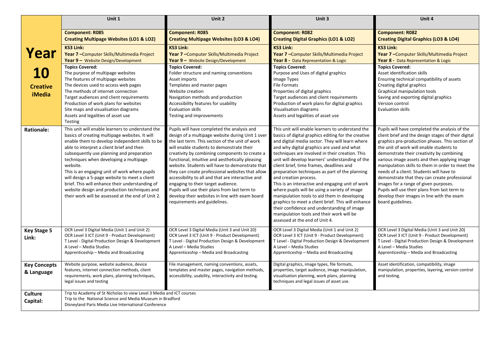|                     | Unit 1                                                                                             | Unit 2                                                                                          | Unit 3                                                                                                  | Unit 4                                                                                                |
|---------------------|----------------------------------------------------------------------------------------------------|-------------------------------------------------------------------------------------------------|---------------------------------------------------------------------------------------------------------|-------------------------------------------------------------------------------------------------------|
|                     | <b>Component: R085</b>                                                                             | <b>Component: R085</b>                                                                          | <b>Component: R082</b>                                                                                  | <b>Component: R082</b>                                                                                |
|                     | <b>Creating Multipage Websites (LO1 &amp; LO2)</b>                                                 | <b>Creating Multipage Websites (LO3 &amp; LO4)</b>                                              | <b>Creating Digital Graphics (LO1 &amp; LO2)</b>                                                        | <b>Creating Digital Graphics (LO3 &amp; LO4)</b>                                                      |
| Year                | <b>KS3 Link:</b>                                                                                   | <b>KS3 Link:</b>                                                                                | <b>KS3 Link:</b>                                                                                        | <b>KS3 Link:</b>                                                                                      |
|                     | Year 7 - Computer Skills/Multimedia Project<br>Year 9 - Website Design/Development                 | Year 7 - Computer Skills/Multimedia Project<br>Year 9 - Website Design/Development              | Year 7 - Computer Skills/Multimedia Project<br>Year 8 - Data Representation & Logic                     | Year 7 - Computer Skills/Multimedia Project<br>Year 8 - Data Representation & Logic                   |
|                     | <b>Topics Covered:</b>                                                                             | <b>Topics Covered:</b>                                                                          | <b>Topics Covered:</b>                                                                                  | <b>Topics Covered:</b>                                                                                |
| <b>10</b>           | The purpose of multipage websites                                                                  | Folder structure and naming conventions                                                         | Purpose and Uses of digital graphics                                                                    | Asset identification skills                                                                           |
|                     | The features of multipage websites                                                                 | Asset imports                                                                                   | Image Types                                                                                             | Ensuring technical compatibility of assets                                                            |
| <b>Creative</b>     | The devices used to access web pages                                                               | Templates and master pages                                                                      | <b>File Formats</b>                                                                                     | Creating digital graphics                                                                             |
|                     | The methods of internet connection                                                                 | Website creation                                                                                | Properties of digital graphics                                                                          | Graphical manipulation tools                                                                          |
| <b>iMedia</b>       | Target audiences and client requirements                                                           | Navigation methods and production                                                               | Target audiences and client requirements                                                                | Saving and exporting digital graphics                                                                 |
|                     | Production of work plans for websites                                                              | Accessibility features for usability                                                            | Production of work plans for digital graphics                                                           | Version control                                                                                       |
|                     | Site maps and visualisation diagrams                                                               | <b>Evaluation skills</b>                                                                        | Visualisation diagrams                                                                                  | <b>Evaluation skills</b>                                                                              |
|                     | Assets and legalities of asset use                                                                 | Testing and improvements                                                                        | Assets and legalities of asset use                                                                      |                                                                                                       |
|                     | Testing                                                                                            |                                                                                                 |                                                                                                         |                                                                                                       |
| <b>Rationale:</b>   | This unit will enable learners to understand the<br>basics of creating multipage websites. It will | Pupils will have completed the analysis and<br>design of a multipage website during Unit 1 over | This unit will enable learners to understand the<br>basics of digital graphics editing for the creative | Pupils will have completed the analysis of the<br>client brief and the design stages of their digital |
|                     | enable them to develop independent skills to be                                                    | the last term. This section of the unit of work                                                 | and digital media sector. They will learn where                                                         | graphics pre-production phases. This section of                                                       |
|                     | able to interpret a client brief and then                                                          | will enable students to demonstrate their                                                       | and why digital graphics are used and what                                                              | the unit of work will enable students to                                                              |
|                     | subsequently use planning and preparation                                                          | creativity by combining components to create a                                                  | techniques are involved in their creation. This                                                         | demonstrate their creativity by combining                                                             |
|                     | techniques when developing a multipage                                                             | functional, intuitive and aesthetically pleasing                                                | unit will develop learners' understanding of the                                                        | various image assets and then applying image                                                          |
|                     | website.                                                                                           | website. Students will have to demonstrate that                                                 | client brief, time frames, deadlines and                                                                | manipulation skills to them in order to meet the                                                      |
|                     | This is an engaging unit of work where pupils                                                      | they can create professional websites that allow                                                | preparation techniques as part of the planning                                                          | needs of a client. Students will have to                                                              |
|                     | will design a 5-page website to meet a client                                                      | accessibility to all and that are interactive and                                               | and creation process.                                                                                   | demonstrate that they can create professional                                                         |
|                     | brief. This will enhance their understanding of<br>website design and production techniques and    | engaging to their target audience.<br>Pupils will use their plans from last term to             | This is an interactive and engaging unit of work<br>where pupils will be using a variety of image       | images for a range of given purposes.<br>Pupils will use their plans from last term to                |
|                     | their work will be assessed at the end of Unit 2.                                                  | develop their websites in line with exam board                                                  | manipulation tools to aid them in developing                                                            | develop their images in line with the exam                                                            |
|                     |                                                                                                    | requirements and guidelines.                                                                    | graphics to meet a client brief. This will enhance                                                      | board guidelines.                                                                                     |
|                     |                                                                                                    |                                                                                                 | their confidence and understanding of image                                                             |                                                                                                       |
|                     |                                                                                                    |                                                                                                 | manipulation tools and their work will be                                                               |                                                                                                       |
|                     |                                                                                                    |                                                                                                 | assessed at the end of Unit 4.                                                                          |                                                                                                       |
| <b>Key Stage 5</b>  | OCR Level 3 Digital Media (Unit 1 and Unit 2)                                                      | OCR Level 3 Digital Media (Unit 3 and Unit 20)                                                  | OCR Level 3 Digital Media (Unit 1 and Unit 2)                                                           | OCR Level 3 Digital Media (Unit 3 and Unit 20)                                                        |
| Link:               | OCR Level 3 ICT (Unit 9 - Product Development)                                                     | OCR Level 3 ICT (Unit 9 - Product Development)                                                  | OCR Level 3 ICT (Unit 9 - Product Development)                                                          | OCR Level 3 ICT (Unit 9 - Product Development)                                                        |
|                     | T Level - Digital Production Design & Development                                                  | T Level - Digital Production Design & Development                                               | T Level - Digital Production Design & Development                                                       | T Level - Digital Production Design & Development                                                     |
|                     | A Level - Media Studies<br>Apprenticeship - Media and Broadcasting                                 | A Level - Media Studies<br>Apprenticeship - Media and Broadcasting                              | A Level - Media Studies<br>Apprenticeship - Media and Broadcasting                                      | A Level - Media Studies<br>Apprenticeship - Media and Broadcasting                                    |
|                     |                                                                                                    |                                                                                                 |                                                                                                         |                                                                                                       |
| <b>Key Concepts</b> | Website purpose, website audience, device                                                          | File management, naming conventions, assets,                                                    | Digital graphics, image types, file formats,                                                            | Asset identification, compatibility, image                                                            |
| & Language          | features, internet connection methods, client                                                      | templates and master pages, navigation methods,                                                 | properties, target audience, image manipulation,                                                        | manipulation, properties, layering, version control                                                   |
|                     | requirements, work plans, planning techniques,                                                     | accessibility, usability, interactivity and testing.                                            | visualisation planning, work plans, planning                                                            | and testing.                                                                                          |
|                     | legal issues and testing                                                                           |                                                                                                 | techniques and legal issues of asset use.                                                               |                                                                                                       |
| <b>Culture</b>      | Trip to Academy of St Nicholas to view Level 3 Media and ICT courses                               |                                                                                                 |                                                                                                         |                                                                                                       |
| Capital:            | Trip to the National Science and Media Museum in Bradford                                          |                                                                                                 |                                                                                                         |                                                                                                       |
|                     | Disneyland Paris Media Live International Conference                                               |                                                                                                 |                                                                                                         |                                                                                                       |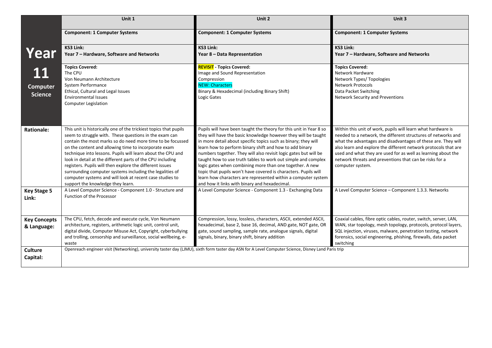|                     | Unit 1                                                                                                                 | Unit 2                                                                                                                                              | Unit 3                                                                                                                             |
|---------------------|------------------------------------------------------------------------------------------------------------------------|-----------------------------------------------------------------------------------------------------------------------------------------------------|------------------------------------------------------------------------------------------------------------------------------------|
|                     | <b>Component: 1 Computer Systems</b>                                                                                   | <b>Component: 1 Computer Systems</b>                                                                                                                | <b>Component: 1 Computer Systems</b>                                                                                               |
|                     | <b>KS3 Link:</b>                                                                                                       | <b>KS3 Link:</b>                                                                                                                                    | <b>KS3 Link:</b>                                                                                                                   |
| Year                | Year 7 - Hardware, Software and Networks                                                                               | Year 8 - Data Representation                                                                                                                        | Year 7 - Hardware, Software and Networks                                                                                           |
|                     | <b>Topics Covered:</b>                                                                                                 | <b>REVISIT</b> - Topics Covered:                                                                                                                    | <b>Topics Covered:</b>                                                                                                             |
| 11                  | The CPU                                                                                                                | Image and Sound Representation                                                                                                                      | Network Hardware                                                                                                                   |
|                     | Von Neumann Architecture                                                                                               | Compression                                                                                                                                         | Network Types/Topologies                                                                                                           |
| <b>Computer</b>     | System Performance                                                                                                     | <b>NEW: Characters</b>                                                                                                                              | <b>Network Protocols</b>                                                                                                           |
| <b>Science</b>      | Ethical, Cultural and Legal Issues<br><b>Environmental Issues</b>                                                      | Binary & Hexadecimal (including Binary Shift)<br>Logic Gates                                                                                        | Data Packet Switching                                                                                                              |
|                     | <b>Computer Legislation</b>                                                                                            |                                                                                                                                                     | Network Security and Preventions                                                                                                   |
|                     |                                                                                                                        |                                                                                                                                                     |                                                                                                                                    |
| <b>Rationale:</b>   | This unit is historically one of the trickiest topics that pupils                                                      | Pupils will have been taught the theory for this unit in Year 8 so                                                                                  | Within this unit of work, pupils will learn what hardware is                                                                       |
|                     | seem to struggle with. These questions in the exam can<br>contain the most marks so do need more time to be focussed   | they will have the basic knowledge however they will be taught<br>in more detail about specific topics such as binary; they will                    | needed to a network, the different structures of networks and<br>what the advantages and disadvantages of these are. They will     |
|                     | on the content and allowing time to incorporate exam                                                                   | learn how to perform binary shift and how to add binary                                                                                             | also learn and explore the different network protocols that are                                                                    |
|                     | technique into lessons. Pupils will learn about the CPU and                                                            | numbers together. They will also revisit logic gates but will be                                                                                    | used and what they are used for as well as learning about the                                                                      |
|                     | look in detail at the different parts of the CPU including                                                             | taught how to use truth tables to work out simple and complex                                                                                       | network threats and preventions that can be risks for a                                                                            |
|                     | registers. Pupils will then explore the different issues                                                               | logic gates when combining more than one together. A new                                                                                            | computer system.                                                                                                                   |
|                     | surrounding computer systems including the legalities of                                                               | topic that pupils won't have covered is characters. Pupils will                                                                                     |                                                                                                                                    |
|                     | computer systems and will look at recent case studies to                                                               | learn how characters are represented within a computer system                                                                                       |                                                                                                                                    |
|                     | support the knowledge they learn.                                                                                      | and how it links with binary and hexadecimal.                                                                                                       |                                                                                                                                    |
| <b>Key Stage 5</b>  | A Level Computer Science - Component 1.0 - Structure and                                                               | A Level Computer Science - Component 1.3 - Exchanging Data                                                                                          | A Level Computer Science - Component 1.3.3. Networks                                                                               |
| Link:               | Function of the Processor                                                                                              |                                                                                                                                                     |                                                                                                                                    |
|                     |                                                                                                                        |                                                                                                                                                     |                                                                                                                                    |
|                     |                                                                                                                        |                                                                                                                                                     |                                                                                                                                    |
| <b>Key Concepts</b> | The CPU, fetch, decode and execute cycle, Von Neumann<br>architecture, registers, arithmetic logic unit, control unit, | Compression, lossy, lossless, characters, ASCII, extended ASCII,<br>hexadecimal, base 2, base 16, decimal, AND gate, NOT gate, OR                   | Coaxial cables, fibre optic cables, router, switch, server, LAN,<br>WAN, star topology, mesh topology, protocols, protocol layers, |
| & Language:         | digital divide, Computer Misuse Act, Copyright, cyberbullying                                                          | gate, sound sampling, sample rate, analogue signals, digital                                                                                        | SQL injection, viruses, malware, penetration testing, network                                                                      |
|                     | and trolling, censorship and surveillance, social wellbeing, e-                                                        | signals, binary, binary shift, binary addition                                                                                                      | forensics, social engineering, phishing, firewalls, data packet                                                                    |
|                     | waste                                                                                                                  |                                                                                                                                                     | switching                                                                                                                          |
| <b>Culture</b>      |                                                                                                                        | Openreach engineer visit (Networking), university taster day (LJMU), sixth form taster day ASN for A Level Computer Science, Disney Land Paris trip |                                                                                                                                    |
| Capital:            |                                                                                                                        |                                                                                                                                                     |                                                                                                                                    |
|                     |                                                                                                                        |                                                                                                                                                     |                                                                                                                                    |
|                     |                                                                                                                        |                                                                                                                                                     |                                                                                                                                    |